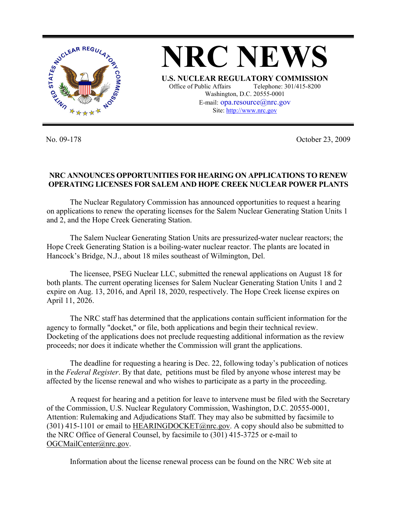

**NRC NEWS U.S. NUCLEAR REGULATORY COMMISSION** Office of Public Affairs Telephone: 301/415-8200 Washington, D.C. 20555-0001 E-mail: opa.resource@nrc.gov Site: http://www.nrc.gov

No. 09-178 October 23, 2009

## **NRC ANNOUNCES OPPORTUNITIES FOR HEARING ON APPLICATIONS TO RENEW OPERATING LICENSES FOR SALEM AND HOPE CREEK NUCLEAR POWER PLANTS**

 The Nuclear Regulatory Commission has announced opportunities to request a hearing on applications to renew the operating licenses for the Salem Nuclear Generating Station Units 1 and 2, and the Hope Creek Generating Station.

 The Salem Nuclear Generating Station Units are pressurized-water nuclear reactors; the Hope Creek Generating Station is a boiling-water nuclear reactor. The plants are located in Hancock's Bridge, N.J., about 18 miles southeast of Wilmington, Del.

 The licensee, PSEG Nuclear LLC, submitted the renewal applications on August 18 for both plants. The current operating licenses for Salem Nuclear Generating Station Units 1 and 2 expire on Aug. 13, 2016, and April 18, 2020, respectively. The Hope Creek license expires on April 11, 2026.

 The NRC staff has determined that the applications contain sufficient information for the agency to formally "docket," or file, both applications and begin their technical review. Docketing of the applications does not preclude requesting additional information as the review proceeds; nor does it indicate whether the Commission will grant the applications.

 The deadline for requesting a hearing is Dec. 22, following today's publication of notices in the *Federal Register*. By that date, petitions must be filed by anyone whose interest may be affected by the license renewal and who wishes to participate as a party in the proceeding.

 A request for hearing and a petition for leave to intervene must be filed with the Secretary of the Commission, U.S. Nuclear Regulatory Commission, Washington, D.C. 20555-0001, Attention: Rulemaking and Adjudications Staff. They may also be submitted by facsimile to (301) 415-1101 or email to HEARINGDOCKET@nrc.gov. A copy should also be submitted to the NRC Office of General Counsel, by facsimile to (301) 415-3725 or e-mail to OGCMailCenter@nrc.gov.

Information about the license renewal process can be found on the NRC Web site at